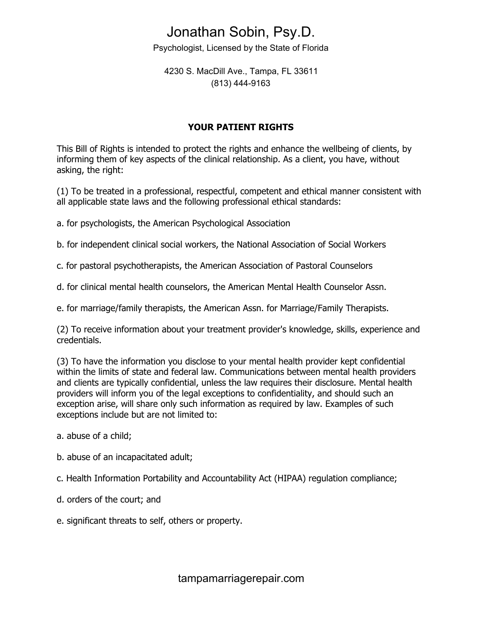## Jonathan Sobin, Psy.D.

Psychologist, Licensed by the State of Florida

4230 S. MacDill Ave., Tampa, FL 33611 (813) 444-9163

## **YOUR PATIENT RIGHTS**

This Bill of Rights is intended to protect the rights and enhance the wellbeing of clients, by informing them of key aspects of the clinical relationship. As a client, you have, without asking, the right:

(1) To be treated in a professional, respectful, competent and ethical manner consistent with all applicable state laws and the following professional ethical standards:

a. for psychologists, the American Psychological Association

b. for independent clinical social workers, the National Association of Social Workers

c. for pastoral psychotherapists, the American Association of Pastoral Counselors

d. for clinical mental health counselors, the American Mental Health Counselor Assn.

e. for marriage/family therapists, the American Assn. for Marriage/Family Therapists.

(2) To receive information about your treatment provider's knowledge, skills, experience and credentials.

(3) To have the information you disclose to your mental health provider kept confidential within the limits of state and federal law. Communications between mental health providers and clients are typically confidential, unless the law requires their disclosure. Mental health providers will inform you of the legal exceptions to confidentiality, and should such an exception arise, will share only such information as required by law. Examples of such exceptions include but are not limited to:

- a. abuse of a child;
- b. abuse of an incapacitated adult;
- c. Health Information Portability and Accountability Act (HIPAA) regulation compliance;
- d. orders of the court; and
- e. significant threats to self, others or property.

tampamarriagerepair.com